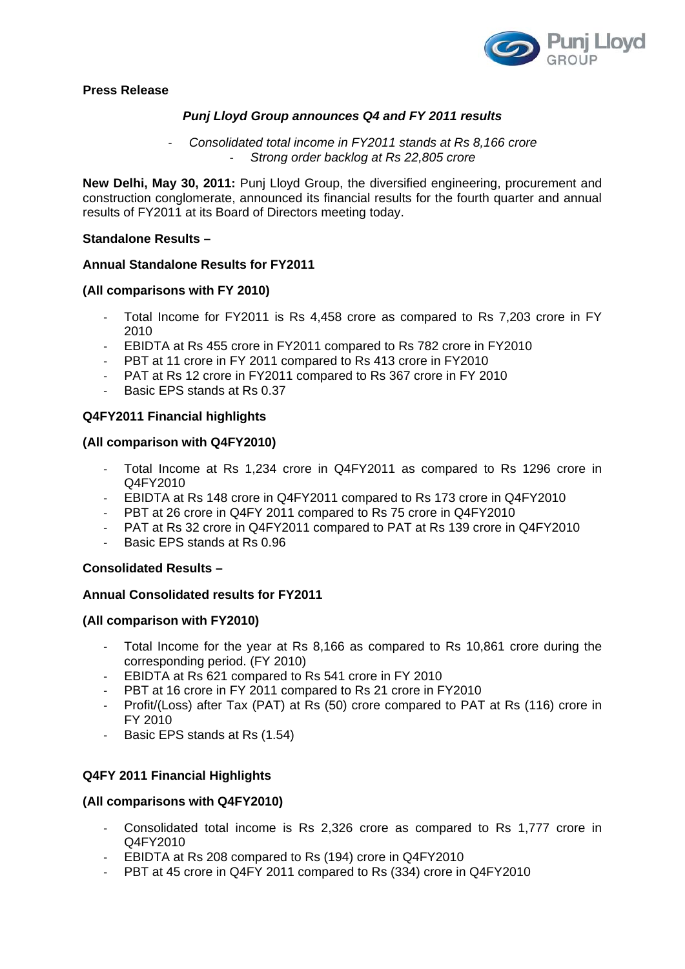

**Press Release** 

# *Punj Lloyd Group announces Q4 and FY 2011 results*

‐ *Consolidated total income in FY2011 stands at Rs 8,166 crore*  ‐ *Strong order backlog at Rs 22,805 crore* 

**New Delhi, May 30, 2011:** Punj Lloyd Group, the diversified engineering, procurement and construction conglomerate, announced its financial results for the fourth quarter and annual results of FY2011 at its Board of Directors meeting today.

### **Standalone Results –**

## **Annual Standalone Results for FY2011**

## **(All comparisons with FY 2010)**

- ‐ Total Income for FY2011 is Rs 4,458 crore as compared to Rs 7,203 crore in FY 2010
- 
- EBIDTA at Rs 455 crore in FY2011 compared to Rs 782 crore in FY2010<br>- PBT at 11 crore in FY 2011 compared to Rs 413 crore in FY2010 PBT at 11 crore in FY 2011 compared to Rs 413 crore in FY2010
- ‐ PAT at Rs 12 crore in FY2011 compared to Rs 367 crore in FY 2010
- ‐ Basic EPS stands at Rs 0.37

## **Q4FY2011 Financial highlights**

### **(All comparison with Q4FY2010)**

- ‐ Total Income at Rs 1,234 crore in Q4FY2011 as compared to Rs 1296 crore in Q4FY2010
- ‐ EBIDTA at Rs 148 crore in Q4FY2011 compared to Rs 173 crore in Q4FY2010
- ‐ PBT at 26 crore in Q4FY 2011 compared to Rs 75 crore in Q4FY2010
- ‐ PAT at Rs 32 crore in Q4FY2011 compared to PAT at Rs 139 crore in Q4FY2010
- ‐ Basic EPS stands at Rs 0.96

### **Consolidated Results –**

## **Annual Consolidated results for FY2011**

### **(All comparison with FY2010)**

- ‐ Total Income for the year at Rs 8,166 as compared to Rs 10,861 crore during the corresponding period. (FY 2010)
- ‐ EBIDTA at Rs 621 compared to Rs 541 crore in FY 2010
- PBT at 16 crore in FY 2011 compared to Rs 21 crore in FY2010
- ‐ Profit/(Loss) after Tax (PAT) at Rs (50) crore compared to PAT at Rs (116) crore in FY 2010
- ‐ Basic EPS stands at Rs (1.54)

## **Q4FY 2011 Financial Highlights**

### **(All comparisons with Q4FY2010)**

- ‐ Consolidated total income is Rs 2,326 crore as compared to Rs 1,777 crore in Q4FY2010
- ‐ EBIDTA at Rs 208 compared to Rs (194) crore in Q4FY2010
- PBT at 45 crore in Q4FY 2011 compared to Rs (334) crore in Q4FY2010